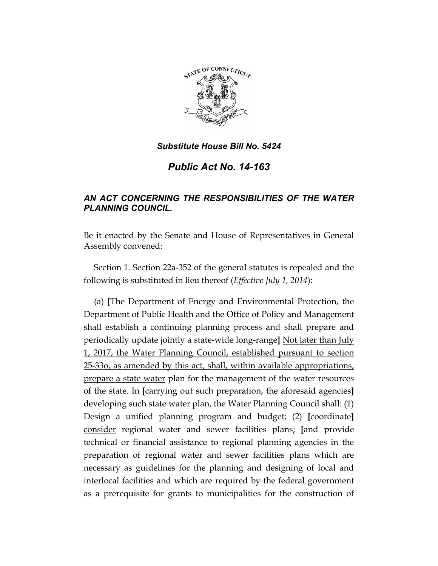

# *Public Act No. 14-163*

# *AN ACT CONCERNING THE RESPONSIBILITIES OF THE WATER PLANNING COUNCIL.*

Be it enacted by the Senate and House of Representatives in General Assembly convened:

Section 1. Section 22a-352 of the general statutes is repealed and the following is substituted in lieu thereof (*Effective July 1, 2014*):

(a) **[**The Department of Energy and Environmental Protection, the Department of Public Health and the Office of Policy and Management shall establish a continuing planning process and shall prepare and periodically update jointly a state-wide long-range**]** Not later than July 1, 2017, the Water Planning Council, established pursuant to section 25-33o, as amended by this act, shall, within available appropriations, prepare a state water plan for the management of the water resources of the state. In **[**carrying out such preparation, the aforesaid agencies**]** developing such state water plan, the Water Planning Council shall: (1) Design a unified planning program and budget; (2) **[**coordinate**]** consider regional water and sewer facilities plans; **[**and provide technical or financial assistance to regional planning agencies in the preparation of regional water and sewer facilities plans which are necessary as guidelines for the planning and designing of local and interlocal facilities and which are required by the federal government as a prerequisite for grants to municipalities for the construction of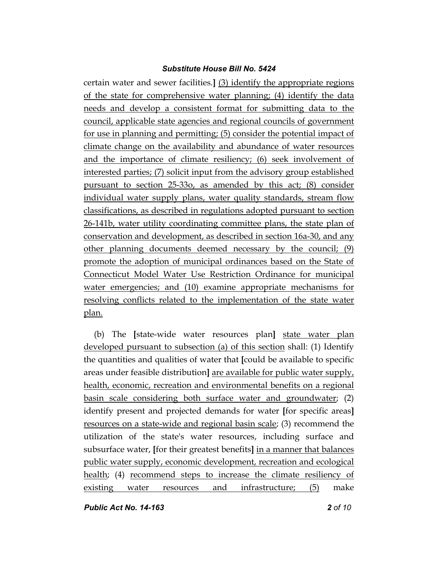certain water and sewer facilities.**]** (3) identify the appropriate regions of the state for comprehensive water planning; (4) identify the data needs and develop a consistent format for submitting data to the council, applicable state agencies and regional councils of government for use in planning and permitting; (5) consider the potential impact of climate change on the availability and abundance of water resources and the importance of climate resiliency; (6) seek involvement of interested parties; (7) solicit input from the advisory group established pursuant to section 25-33o, as amended by this act; (8) consider individual water supply plans, water quality standards, stream flow classifications, as described in regulations adopted pursuant to section 26-141b, water utility coordinating committee plans, the state plan of conservation and development, as described in section 16a-30, and any other planning documents deemed necessary by the council; (9) promote the adoption of municipal ordinances based on the State of Connecticut Model Water Use Restriction Ordinance for municipal water emergencies; and (10) examine appropriate mechanisms for resolving conflicts related to the implementation of the state water plan.

(b) The **[**state-wide water resources plan**]** state water plan developed pursuant to subsection (a) of this section shall: (1) Identify the quantities and qualities of water that **[**could be available to specific areas under feasible distribution**]** are available for public water supply, health, economic, recreation and environmental benefits on a regional basin scale considering both surface water and groundwater; (2) identify present and projected demands for water **[**for specific areas**]**  resources on a state-wide and regional basin scale; (3) recommend the utilization of the state's water resources, including surface and subsurface water, **[**for their greatest benefits**]** in a manner that balances public water supply, economic development, recreation and ecological health; (4) recommend steps to increase the climate resiliency of existing water resources and infrastructure; (5) make

*Public Act No. 14-163 2 of 10*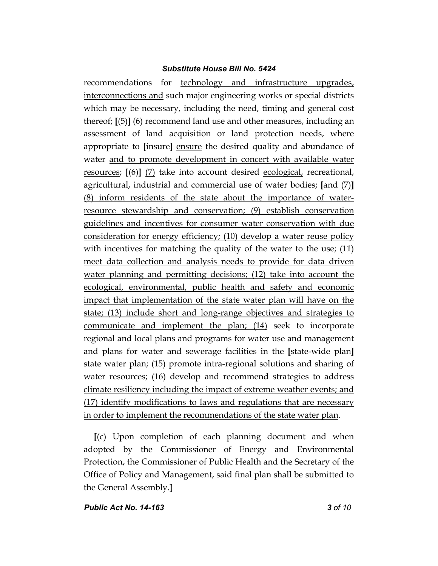recommendations for technology and infrastructure upgrades, interconnections and such major engineering works or special districts which may be necessary, including the need, timing and general cost thereof; **[**(5)**]** (6) recommend land use and other measures, including an assessment of land acquisition or land protection needs, where appropriate to **[**insure**]** ensure the desired quality and abundance of water and to promote development in concert with available water resources; **[**(6)**]** (7) take into account desired ecological, recreational, agricultural, industrial and commercial use of water bodies; **[**and (7)**]** (8) inform residents of the state about the importance of waterresource stewardship and conservation; (9) establish conservation guidelines and incentives for consumer water conservation with due consideration for energy efficiency; (10) develop a water reuse policy with incentives for matching the quality of the water to the use; (11) meet data collection and analysis needs to provide for data driven water planning and permitting decisions; (12) take into account the ecological, environmental, public health and safety and economic impact that implementation of the state water plan will have on the state; (13) include short and long-range objectives and strategies to communicate and implement the plan; (14) seek to incorporate regional and local plans and programs for water use and management and plans for water and sewerage facilities in the **[**state-wide plan**]** state water plan; (15) promote intra-regional solutions and sharing of water resources; (16) develop and recommend strategies to address climate resiliency including the impact of extreme weather events; and (17) identify modifications to laws and regulations that are necessary in order to implement the recommendations of the state water plan.

**[**(c) Upon completion of each planning document and when adopted by the Commissioner of Energy and Environmental Protection, the Commissioner of Public Health and the Secretary of the Office of Policy and Management, said final plan shall be submitted to the General Assembly.**]**

### *Public Act No. 14-163 3 of 10*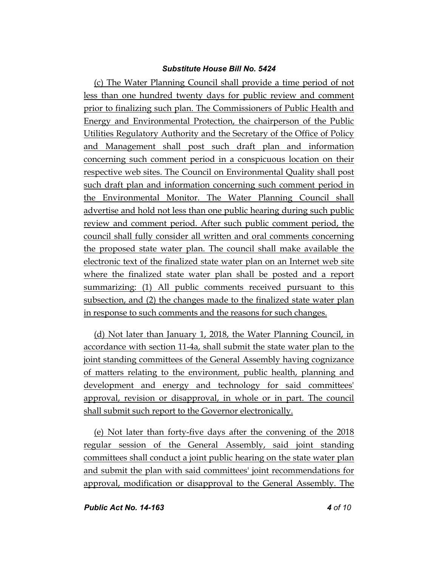(c) The Water Planning Council shall provide a time period of not less than one hundred twenty days for public review and comment prior to finalizing such plan. The Commissioners of Public Health and Energy and Environmental Protection, the chairperson of the Public Utilities Regulatory Authority and the Secretary of the Office of Policy and Management shall post such draft plan and information concerning such comment period in a conspicuous location on their respective web sites. The Council on Environmental Quality shall post such draft plan and information concerning such comment period in the Environmental Monitor. The Water Planning Council shall advertise and hold not less than one public hearing during such public review and comment period. After such public comment period, the council shall fully consider all written and oral comments concerning the proposed state water plan. The council shall make available the electronic text of the finalized state water plan on an Internet web site where the finalized state water plan shall be posted and a report summarizing: (1) All public comments received pursuant to this subsection, and (2) the changes made to the finalized state water plan in response to such comments and the reasons for such changes.

(d) Not later than January 1, 2018, the Water Planning Council, in accordance with section 11-4a, shall submit the state water plan to the joint standing committees of the General Assembly having cognizance of matters relating to the environment, public health, planning and development and energy and technology for said committees' approval, revision or disapproval, in whole or in part. The council shall submit such report to the Governor electronically.

(e) Not later than forty-five days after the convening of the 2018 regular session of the General Assembly, said joint standing committees shall conduct a joint public hearing on the state water plan and submit the plan with said committees' joint recommendations for approval, modification or disapproval to the General Assembly. The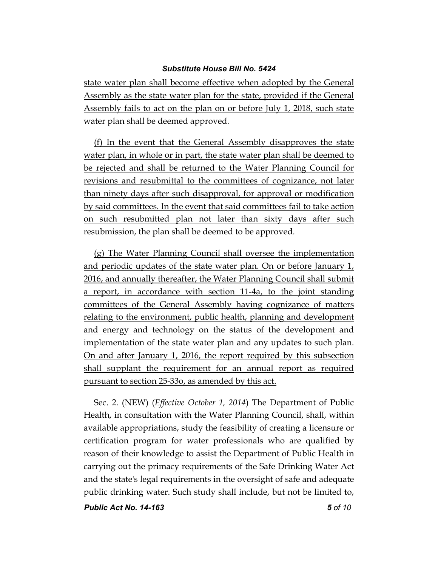state water plan shall become effective when adopted by the General Assembly as the state water plan for the state, provided if the General Assembly fails to act on the plan on or before July 1, 2018, such state water plan shall be deemed approved.

(f) In the event that the General Assembly disapproves the state water plan, in whole or in part, the state water plan shall be deemed to be rejected and shall be returned to the Water Planning Council for revisions and resubmittal to the committees of cognizance, not later than ninety days after such disapproval, for approval or modification by said committees. In the event that said committees fail to take action on such resubmitted plan not later than sixty days after such resubmission, the plan shall be deemed to be approved.

(g) The Water Planning Council shall oversee the implementation and periodic updates of the state water plan. On or before January 1, 2016, and annually thereafter, the Water Planning Council shall submit a report, in accordance with section 11-4a, to the joint standing committees of the General Assembly having cognizance of matters relating to the environment, public health, planning and development and energy and technology on the status of the development and implementation of the state water plan and any updates to such plan. On and after January 1, 2016, the report required by this subsection shall supplant the requirement for an annual report as required pursuant to section 25-33o, as amended by this act.

Sec. 2. (NEW) (*Effective October 1, 2014*) The Department of Public Health, in consultation with the Water Planning Council, shall, within available appropriations, study the feasibility of creating a licensure or certification program for water professionals who are qualified by reason of their knowledge to assist the Department of Public Health in carrying out the primacy requirements of the Safe Drinking Water Act and the state's legal requirements in the oversight of safe and adequate public drinking water. Such study shall include, but not be limited to,

*Public Act No. 14-163 5 of 10*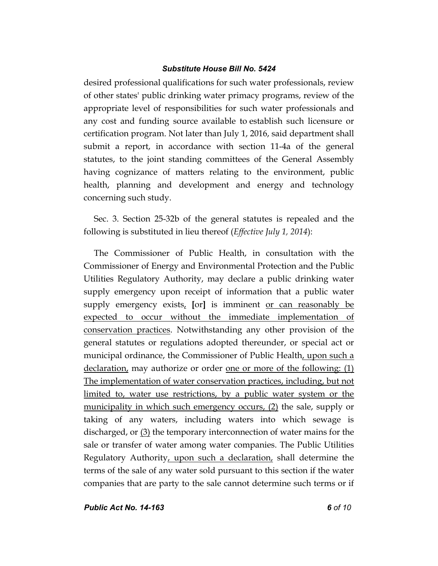desired professional qualifications for such water professionals, review of other states' public drinking water primacy programs, review of the appropriate level of responsibilities for such water professionals and any cost and funding source available to establish such licensure or certification program. Not later than July 1, 2016, said department shall submit a report, in accordance with section 11-4a of the general statutes, to the joint standing committees of the General Assembly having cognizance of matters relating to the environment, public health, planning and development and energy and technology concerning such study.

Sec. 3. Section 25-32b of the general statutes is repealed and the following is substituted in lieu thereof (*Effective July 1, 2014*):

The Commissioner of Public Health, in consultation with the Commissioner of Energy and Environmental Protection and the Public Utilities Regulatory Authority, may declare a public drinking water supply emergency upon receipt of information that a public water supply emergency exists, **[**or**]** is imminent or can reasonably be expected to occur without the immediate implementation of conservation practices. Notwithstanding any other provision of the general statutes or regulations adopted thereunder, or special act or municipal ordinance, the Commissioner of Public Health, upon such a declaration, may authorize or order one or more of the following: (1) The implementation of water conservation practices, including, but not limited to, water use restrictions, by a public water system or the municipality in which such emergency occurs, (2) the sale, supply or taking of any waters, including waters into which sewage is discharged, or  $(3)$  the temporary interconnection of water mains for the sale or transfer of water among water companies. The Public Utilities Regulatory Authority, upon such a declaration, shall determine the terms of the sale of any water sold pursuant to this section if the water companies that are party to the sale cannot determine such terms or if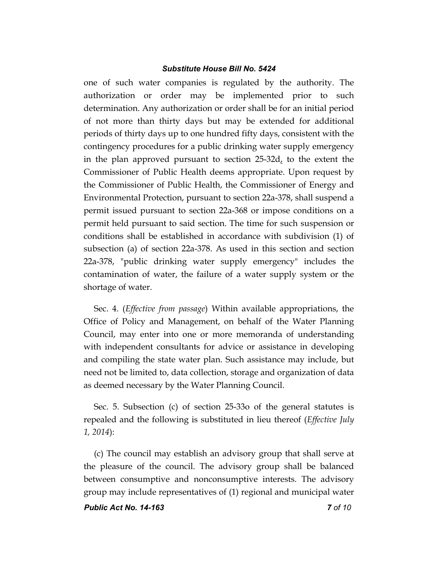one of such water companies is regulated by the authority. The authorization or order may be implemented prior to such determination. Any authorization or order shall be for an initial period of not more than thirty days but may be extended for additional periods of thirty days up to one hundred fifty days, consistent with the contingency procedures for a public drinking water supply emergency in the plan approved pursuant to section 25-32d, to the extent the Commissioner of Public Health deems appropriate. Upon request by the Commissioner of Public Health, the Commissioner of Energy and Environmental Protection, pursuant to section 22a-378, shall suspend a permit issued pursuant to section 22a-368 or impose conditions on a permit held pursuant to said section. The time for such suspension or conditions shall be established in accordance with subdivision (1) of subsection (a) of section 22a-378. As used in this section and section 22a-378, "public drinking water supply emergency" includes the contamination of water, the failure of a water supply system or the shortage of water.

Sec. 4. (*Effective from passage*) Within available appropriations, the Office of Policy and Management, on behalf of the Water Planning Council, may enter into one or more memoranda of understanding with independent consultants for advice or assistance in developing and compiling the state water plan. Such assistance may include, but need not be limited to, data collection, storage and organization of data as deemed necessary by the Water Planning Council.

Sec. 5. Subsection (c) of section 25-33o of the general statutes is repealed and the following is substituted in lieu thereof (*Effective July 1, 2014*):

(c) The council may establish an advisory group that shall serve at the pleasure of the council. The advisory group shall be balanced between consumptive and nonconsumptive interests. The advisory group may include representatives of (1) regional and municipal water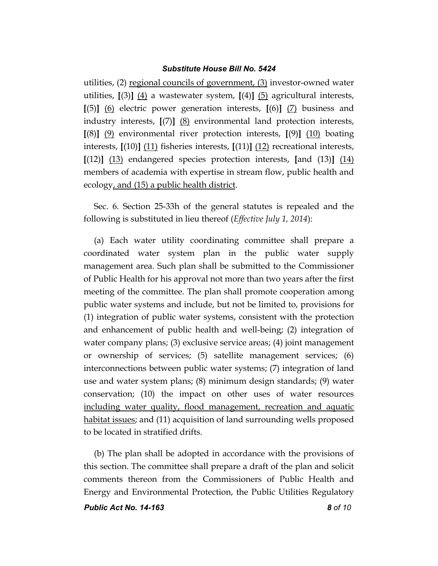utilities, (2) regional councils of government, (3) investor-owned water utilities, **[**(3)**]** (4) a wastewater system, **[**(4)**]** (5) agricultural interests, **[**(5)**]** (6) electric power generation interests, **[**(6)**]** (7) business and industry interests, **[**(7)**]** (8) environmental land protection interests, **[**(8)**]** (9) environmental river protection interests, **[**(9)**]** (10) boating interests, **[**(10)**]** (11) fisheries interests, **[**(11)**]** (12) recreational interests, **[**(12)**]** (13) endangered species protection interests, **[**and (13)**]** (14) members of academia with expertise in stream flow, public health and ecology, and (15) a public health district.

Sec. 6. Section 25-33h of the general statutes is repealed and the following is substituted in lieu thereof (*Effective July 1, 2014*):

(a) Each water utility coordinating committee shall prepare a coordinated water system plan in the public water supply management area. Such plan shall be submitted to the Commissioner of Public Health for his approval not more than two years after the first meeting of the committee. The plan shall promote cooperation among public water systems and include, but not be limited to, provisions for (1) integration of public water systems, consistent with the protection and enhancement of public health and well-being; (2) integration of water company plans; (3) exclusive service areas; (4) joint management or ownership of services; (5) satellite management services; (6) interconnections between public water systems; (7) integration of land use and water system plans; (8) minimum design standards; (9) water conservation; (10) the impact on other uses of water resources including water quality, flood management, recreation and aquatic habitat issues; and (11) acquisition of land surrounding wells proposed to be located in stratified drifts.

(b) The plan shall be adopted in accordance with the provisions of this section. The committee shall prepare a draft of the plan and solicit comments thereon from the Commissioners of Public Health and Energy and Environmental Protection, the Public Utilities Regulatory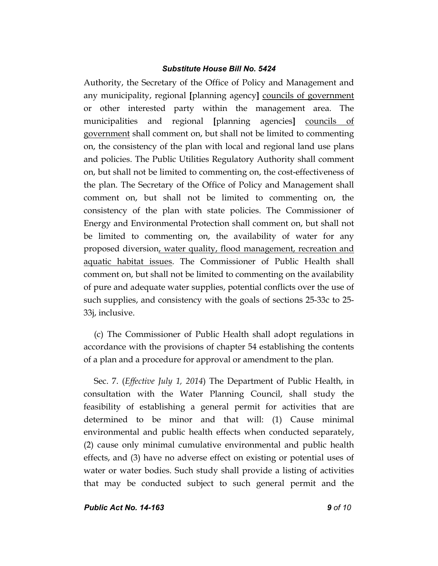Authority, the Secretary of the Office of Policy and Management and any municipality, regional **[**planning agency**]** councils of government or other interested party within the management area. The municipalities and regional **[**planning agencies**]** councils of government shall comment on, but shall not be limited to commenting on, the consistency of the plan with local and regional land use plans and policies. The Public Utilities Regulatory Authority shall comment on, but shall not be limited to commenting on, the cost-effectiveness of the plan. The Secretary of the Office of Policy and Management shall comment on, but shall not be limited to commenting on, the consistency of the plan with state policies. The Commissioner of Energy and Environmental Protection shall comment on, but shall not be limited to commenting on, the availability of water for any proposed diversion, water quality, flood management, recreation and aquatic habitat issues. The Commissioner of Public Health shall comment on, but shall not be limited to commenting on the availability of pure and adequate water supplies, potential conflicts over the use of such supplies, and consistency with the goals of sections 25-33c to 25- 33j, inclusive.

(c) The Commissioner of Public Health shall adopt regulations in accordance with the provisions of chapter 54 establishing the contents of a plan and a procedure for approval or amendment to the plan.

Sec. 7. (*Effective July 1, 2014*) The Department of Public Health, in consultation with the Water Planning Council, shall study the feasibility of establishing a general permit for activities that are determined to be minor and that will: (1) Cause minimal environmental and public health effects when conducted separately, (2) cause only minimal cumulative environmental and public health effects, and (3) have no adverse effect on existing or potential uses of water or water bodies. Such study shall provide a listing of activities that may be conducted subject to such general permit and the